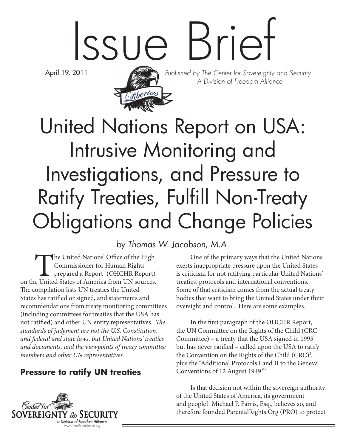# Issue Brief

April 19, 2011



Published by The Center for Sovereignty and Security A Division of Freedom Alliance

# United Nations Report on USA: Intrusive Monitoring and Investigations, and Pressure to Ratify Treaties, Fulfill Non-Treaty Obligations and Change Policies

by Thomas W. Jacobson, M.A.

The United Nations' Office of the High<br>
Commissioner for Human Rights<br>
prepared a Report<sup>1</sup> (OHCHR Report)<br>
on the United States of America from UN sources. Commissioner for Human Rights prepared a Report<sup>1</sup> (OHCHR Report) The compilation lists UN treaties the United States has ratified or signed, and statements and recommendations from treaty monitoring committees (including committees for treaties that the USA has not ratified) and other UN entity representatives. *The standards of judgment are not the U.S. Constitution, and federal and state laws, but United Nations' treaties and documents, and the viewpoints of treaty committee members and other UN representatives.*

#### **Pressure to ratify UN treaties**



One of the primary ways that the United Nations exerts inappropriate pressure upon the United States is criticism for not ratifying particular United Nations' treaties, protocols and international conventions. Some of that criticism comes from the actual treaty bodies that want to bring the United States under their oversight and control. Here are some examples.

In the first paragraph of the OHCHR Report, the UN Committee on the Rights of the Child (CRC Committee) – a treaty that the USA signed in 1995 but has never ratified – called upon the USA to ratify the Convention on the Rights of the Child  $(CRC)^2$ , plus the "Additional Protocols I and II to the Geneva Conventions of 12 August 1949."3

Is that decision not within the sovereign authority of the United States of America, its government and people? Michael P. Farris, Esq., believes so, and therefore founded ParentalRights.Org (PRO) to protect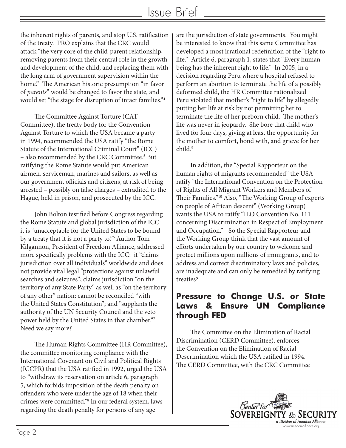the inherent rights of parents, and stop U.S. ratification of the treaty. PRO explains that the CRC would attack "the very core of the child-parent relationship, removing parents from their central role in the growth and development of the child, and replacing them with the long arm of government supervision within the home." The American historic presumption "in favor of *parents*" would be changed to favor the state, and would set "the stage for disruption of intact families."4

The Committee Against Torture (CAT Committee), the treaty body for the Convention Against Torture to which the USA became a party in 1994, recommended the USA ratify "the Rome Statute of the International Criminal Court" (ICC) - also recommended by the CRC Committee.<sup>5</sup> But ratifying the Rome Statute would put American airmen, serviceman, marines and sailors, as well as our government officials and citizens, at risk of being arrested – possibly on false charges – extradited to the Hague, held in prison, and prosecuted by the ICC.

John Bolton testified before Congress regarding the Rome Statute and global jurisdiction of the ICC: it is "unacceptable for the United States to be bound by a treaty that it is not a party to."6 Author Tom Kilgannon, President of Freedom Alliance, addressed more specifically problems with the ICC: it "claims jurisdiction over all individuals" worldwide and does not provide vital legal "protections against unlawful searches and seizures"; claims jurisdiction "on the territory of any State Party" as well as "on the territory of any other" nation; cannot be reconciled "with the United States Constitution"; and "supplants the authority of the UN Security Council and the veto power held by the United States in that chamber."7 Need we say more?

The Human Rights Committee (HR Committee), the committee monitoring compliance with the International Covenant on Civil and Political Rights (ICCPR) that the USA ratified in 1992, urged the USA to "withdraw its reservation on article 6, paragraph 5, which forbids imposition of the death penalty on offenders who were under the age of 18 when their crimes were committed."8 In our federal system, laws regarding the death penalty for persons of any age

are the jurisdiction of state governments. You might be interested to know that this same Committee has developed a most irrational redefinition of the "right to life." Article 6, paragraph 1, states that "Every human being has the inherent right to life." In 2005, in a decision regarding Peru where a hospital refused to perform an abortion to terminate the life of a possibly deformed child, the HR Committee rationalized Peru violated that mother's "right to life" by allegedly putting her life at risk by not permitting her to terminate the life of her preborn child. The mother's life was never in jeopardy. She bore that child who lived for four days, giving at least the opportunity for the mother to comfort, bond with, and grieve for her child.9

In addition, the "Special Rapporteur on the human rights of migrants recommended" the USA ratify "the International Convention on the Protection of Rights of All Migrant Workers and Members of Their Families."10 Also, "The Working Group of experts on people of African descent" (Working Group) wants the USA to ratify "ILO Convention No. 111 concerning Discrimination in Respect of Employment and Occupation."11 So the Special Rapporteur and the Working Group think that the vast amount of efforts undertaken by our country to welcome and protect millions upon millions of immigrants, and to address and correct discriminatory laws and policies, are inadequate and can only be remedied by ratifying treaties?

#### **Pressure to Change U.S. or State Laws & Ensure UN Compliance through FED**

The Committee on the Elimination of Racial Discrimination (CERD Committee), enforces the Convention on the Elimination of Racial Descrimination which the USA ratified in 1994. The CERD Committee, with the CRC Committee

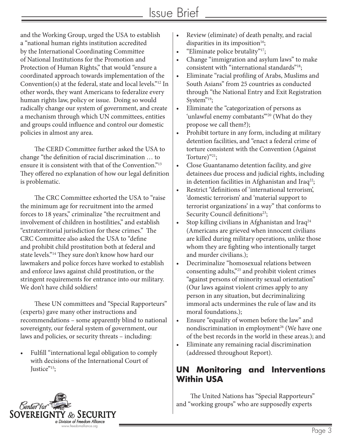and the Working Group, urged the USA to establish a "national human rights institution accredited by the International Coordinating Committee of National Institutions for the Promotion and Protection of Human Rights," that would "ensure a coordinated approach towards implementation of the Convention(s) at the federal, state and local levels."12 In other words, they want Americans to federalize every human rights law, policy or issue. Doing so would radically change our system of government, and create a mechanism through which UN committees, entities and groups could influence and control our domestic policies in almost any area.

The CERD Committee further asked the USA to change "the definition of racial discrimination … to ensure it is consistent with that of the Convention."13 They offered no explanation of how our legal definition is problematic.

The CRC Committee exhorted the USA to "raise the minimum age for recruitment into the armed forces to 18 years," criminalize "the recruitment and involvement of children in hostilities," and establish "extraterritorial jurisdiction for these crimes." The CRC Committee also asked the USA to "define and prohibit child prostitution both at federal and state levels."14 They sure don't know how hard our lawmakers and police forces have worked to establish and enforce laws against child prostitution, or the stringent requirements for entrance into our military. We don't have child soldiers!

These UN committees and "Special Rapporteurs" (experts) gave many other instructions and recommendations – some apparently blind to national sovereignty, our federal system of government, our laws and policies, or security threats – including:

Fulfill "international legal obligation to comply with decisions of the International Court of Justice"<sup>15</sup>;

- Review (eliminate) of death penalty, and racial disparities in its imposition<sup>16</sup>;
- "Eliminate police brutality" $17$ ;
- Change "immigration and asylum laws" to make consistent with "international standards"18;
- • Eliminate "racial profiling of Arabs, Muslims and South Asians" from 25 countries as conducted through "the National Entry and Exit Registration System"<sup>19</sup>;
- Eliminate the "categorization of persons as 'unlawful enemy combatants"<sup>20</sup> (What do they propose we call them?);
- Prohibit torture in any form, including at military detention facilities, and "enact a federal crime of torture consistent with the Convention (Against Torture)"<sup>21</sup>;
- • Close Guantanamo detention facility, and give detainees due process and judicial rights, including in detention facilities in Afghanistan and Iraq<sup>22</sup>;
- • Restrict "definitions of 'international terrorism', 'domestic terrorism' and 'material support to terrorist organizations' in a way" that conforms to Security Council definitions<sup>23</sup>;
- Stop killing civilians in Afghanistan and Iraq<sup>24</sup> (Americans are grieved when innocent civilians are killed during military operations, unlike those whom they are fighting who intentionally target and murder civilians.);
- Decriminalize "homosexual relations between consenting adults,"25 and prohibit violent crimes "against persons of minority sexual orientation" (Our laws against violent crimes apply to any person in any situation, but decriminalizing immoral acts undermines the rule of law and its moral foundations.);
- • Ensure "equality of women before the law" and nondiscrimination in employment<sup>26</sup> (We have one of the best records in the world in these areas.); and
- • Eliminate any remaining racial discrimination (addressed throughout Report).

#### **UN Monitoring and Interventions Within USA**

The United Nations has "Special Rapporteurs" and "working groups" who are supposedly experts

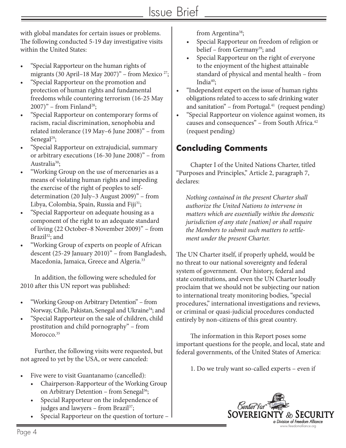with global mandates for certain issues or problems. The following conducted 5-19 day investigative visits within the United States:

- "Special Rapporteur on the human rights of migrants (30 April–18 May 2007)" – from Mexico  $27$ ;
- • "Special Rapporteur on the promotion and protection of human rights and fundamental freedoms while countering terrorism (16-25 May  $2007$ " – from Finland<sup>28</sup>;
- • "Special Rapporteur on contemporary forms of racism, racial discrimination, xenophobia and related intolerance (19 May–6 June 2008)" – from Senegal<sup>29</sup>;
- • "Special Rapporteur on extrajudicial, summary or arbitrary executions (16-30 June 2008)" – from Australia<sup>30</sup>;
- "Working Group on the use of mercenaries as a means of violating human rights and impeding the exercise of the right of peoples to selfdetermination (20 July–3 August 2009)" – from Libya, Colombia, Spain, Russia and Fiji<sup>31</sup>;
- "Special Rapporteur on adequate housing as a component of the right to an adequate standard of living (22 October–8 November 2009)" – from Brazil<sup>32</sup>; and
- • "Working Group of experts on people of African descent (25-29 January 2010)" – from Bangladesh, Macedonia, Jamaica, Greece and Algeria.33

In addition, the following were scheduled for 2010 after this UN report was published:

- • "Working Group on Arbitrary Detention" from Norway, Chile, Pakistan, Senegal and Ukraine<sup>34</sup>; and
- • "Special Rapporteur on the sale of children, child prostitution and child pornography" – from Morocco.<sup>35</sup>

Further, the following visits were requested, but not agreed to yet by the USA, or were canceled:

- Five were to visit Guantanamo (cancelled):
	- Chairperson-Rapporteur of the Working Group on Arbitrary Detention – from Senegal<sup>36</sup>;
	- Special Rapporteur on the independence of judges and lawyers - from Brazil<sup>37</sup>;
	- Special Rapporteur on the question of torture -

from Argentina<sup>38</sup>;

- Special Rapporteur on freedom of religion or belief – from Germany<sup>39</sup>; and
- Special Rapporteur on the right of everyone to the enjoyment of the highest attainable standard of physical and mental health – from India<sup>40</sup>;
- "Independent expert on the issue of human rights obligations related to access to safe drinking water and sanitation" – from Portugal. $41$  (request pending)
- "Special Rapporteur on violence against women, its causes and consequences" – from South Africa.<sup>42</sup> (request pending)

### **Concluding Comments**

Chapter I of the United Nations Charter, titled "Purposes and Principles," Article 2, paragraph 7, declares:

*Nothing contained in the present Charter shall authorize the United Nations to intervene in matters which are essentially within the domestic jurisdiction of any state [nation] or shall require the Members to submit such matters to settlement under the present Charter.*

The UN Charter itself, if properly upheld, would be no threat to our national sovereignty and federal system of government. Our history, federal and state constitutions, and even the UN Charter loudly proclaim that we should not be subjecting our nation to international treaty monitoring bodies, "special procedures," international investigations and reviews, or criminal or quasi-judicial procedures conducted entirely by non-citizens of this great country.

The information in this Report poses some important questions for the people, and local, state and federal governments, of the United States of America:

1. Do we truly want so-called experts – even if

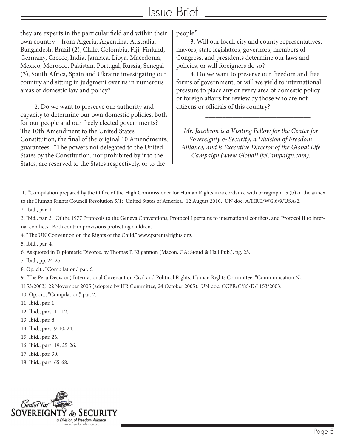## Issue Brief

they are experts in the particular field and within their own country – from Algeria, Argentina, Australia, Bangladesh, Brazil (2), Chile, Colombia, Fiji, Finland, Germany, Greece, India, Jamiaca, Libya, Macedonia, Mexico, Morocco, Pakistan, Portugal, Russia, Senegal (3), South Africa, Spain and Ukraine investigating our country and sitting in judgment over us in numerous areas of domestic law and policy?

2. Do we want to preserve our authority and capacity to determine our own domestic policies, both for our people and our freely elected governments? The 10th Amendment to the United States Constitution, the final of the original 10 Amendments, guarantees: "The powers not delegated to the United States by the Constitution, nor prohibited by it to the States, are reserved to the States respectively, or to the

people."

3. Will our local, city and county representatives, mayors, state legislators, governors, members of Congress, and presidents determine our laws and policies, or will foreigners do so?

4. Do we want to preserve our freedom and free forms of government, or will we yield to international pressure to place any or every area of domestic policy or foreign affairs for review by those who are not citizens or officials of this country?

*Mr. Jacobson is a Visiting Fellow for the Center for Sovereignty & Security, a Division of Freedom Alliance, and is Executive Director of the Global Life Campaign (www.GlobalLifeCampaign.com).* 

\_\_\_\_\_\_\_\_\_\_\_\_\_\_\_\_\_\_\_\_\_\_\_\_\_\_\_\_\_\_\_

1. "Compilation prepared by the Office of the High Commissioner for Human Rights in accordance with paragraph 15 (b) of the annex to the Human Rights Council Resolution 5/1: United States of America," 12 August 2010. UN doc: A/HRC/WG.6/9/USA/2. 2. Ibid., par. 1.

3. Ibid., par. 3. Of the 1977 Protocols to the Geneva Conventions, Protocol I pertains to international conflicts, and Protocol II to internal conflicts. Both contain provisions protecting children.

4. "The UN Convention on the Rights of the Child," www.parentalrights.org.

5. Ibid., par. 4.

6. As quoted in Diplomatic Divorce, by Thomas P. Kilgannon (Macon, GA: Stoud & Hall Pub.), pg. 25.

7. Ibid., pp. 24-25.

8. Op. cit., "Compilation," par. 6.

9. (The Peru Decision) International Covenant on Civil and Political Rights. Human Rights Committee. "Communication No. 1153/2003," 22 November 2005 (adopted by HR Committee, 24 October 2005). UN doc: CCPR/C/85/D/1153/2003.

10. Op. cit., "Compilation," par. 2.

- 11. Ibid., par. 1.
- 12. Ibid., pars. 11-12.
- 13. Ibid., par. 8.
- 14. Ibid., pars. 9-10, 24.
- 15. Ibid., par. 26.
- 16. Ibid., pars. 19, 25-26.
- 17. Ibid., par. 30.
- 18. Ibid., pars. 65-68.